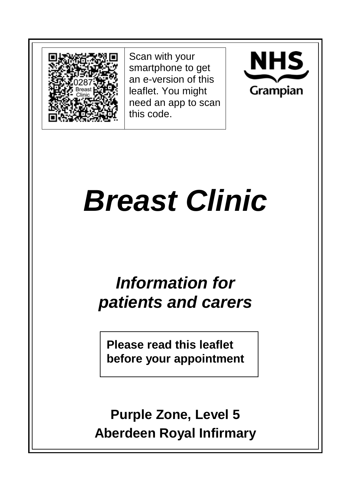

Scan with your smartphone to get an e-version of this leaflet. You might need an app to scan this code.



# *Breast Clinic*

## *Information for patients and carers*

**Please read this leaflet before your appointment**

**Purple Zone, Level 5 Aberdeen Royal Infirmary**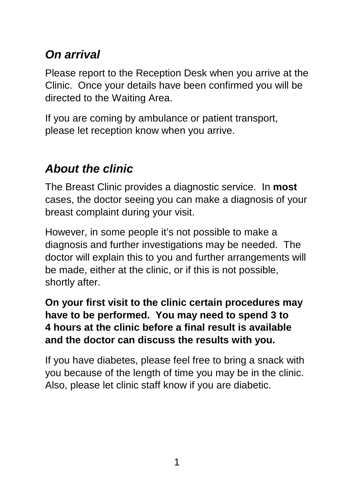## *On arrival*

Please report to the Reception Desk when you arrive at the Clinic. Once your details have been confirmed you will be directed to the Waiting Area.

If you are coming by ambulance or patient transport, please let reception know when you arrive.

## *About the clinic*

The Breast Clinic provides a diagnostic service. In **most** cases, the doctor seeing you can make a diagnosis of your breast complaint during your visit.

However, in some people it's not possible to make a diagnosis and further investigations may be needed. The doctor will explain this to you and further arrangements will be made, either at the clinic, or if this is not possible, shortly after.

#### **On your first visit to the clinic certain procedures may have to be performed. You may need to spend 3 to 4 hours at the clinic before a final result is available and the doctor can discuss the results with you.**

If you have diabetes, please feel free to bring a snack with you because of the length of time you may be in the clinic. Also, please let clinic staff know if you are diabetic.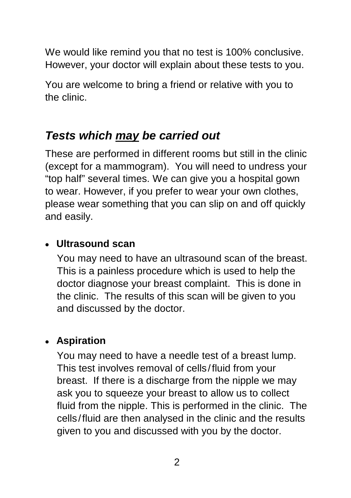We would like remind you that no test is 100% conclusive. However, your doctor will explain about these tests to you.

You are welcome to bring a friend or relative with you to the clinic.

#### *Tests which may be carried out*

These are performed in different rooms but still in the clinic (except for a mammogram). You will need to undress your "top half" several times. We can give you a hospital gown to wear. However, if you prefer to wear your own clothes, please wear something that you can slip on and off quickly and easily.

#### • **Ultrasound scan**

You may need to have an ultrasound scan of the breast. This is a painless procedure which is used to help the doctor diagnose your breast complaint. This is done in the clinic. The results of this scan will be given to you and discussed by the doctor.

#### • **Aspiration**

You may need to have a needle test of a breast lump. This test involves removal of cells/fluid from your breast. If there is a discharge from the nipple we may ask you to squeeze your breast to allow us to collect fluid from the nipple. This is performed in the clinic. The cells/fluid are then analysed in the clinic and the results given to you and discussed with you by the doctor.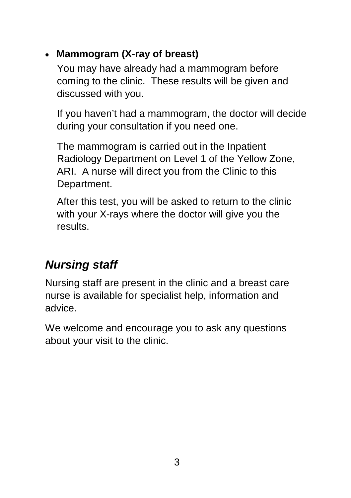#### • **Mammogram (X-ray of breast)**

You may have already had a mammogram before coming to the clinic. These results will be given and discussed with you.

If you haven't had a mammogram, the doctor will decide during your consultation if you need one.

The mammogram is carried out in the Inpatient Radiology Department on Level 1 of the Yellow Zone, ARI. A nurse will direct you from the Clinic to this Department.

After this test, you will be asked to return to the clinic with your X-rays where the doctor will give you the results.

## *Nursing staff*

Nursing staff are present in the clinic and a breast care nurse is available for specialist help, information and advice.

We welcome and encourage you to ask any questions about your visit to the clinic.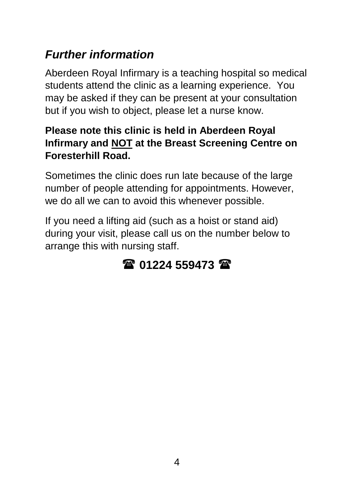## *Further information*

Aberdeen Royal Infirmary is a teaching hospital so medical students attend the clinic as a learning experience. You may be asked if they can be present at your consultation but if you wish to object, please let a nurse know.

#### **Please note this clinic is held in Aberdeen Royal Infirmary and NOT at the Breast Screening Centre on Foresterhill Road.**

Sometimes the clinic does run late because of the large number of people attending for appointments. However, we do all we can to avoid this whenever possible.

If you need a lifting aid (such as a hoist or stand aid) during your visit, please call us on the number below to arrange this with nursing staff.

## **01224 559473**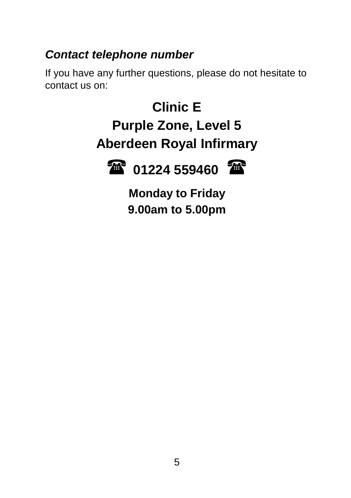## *Contact telephone number*

If you have any further questions, please do not hesitate to contact us on:

> **Clinic E Purple Zone, Level 5 Aberdeen Royal Infirmary**

**TE** 01224 559460



**Monday to Friday 9.00am to 5.00pm**